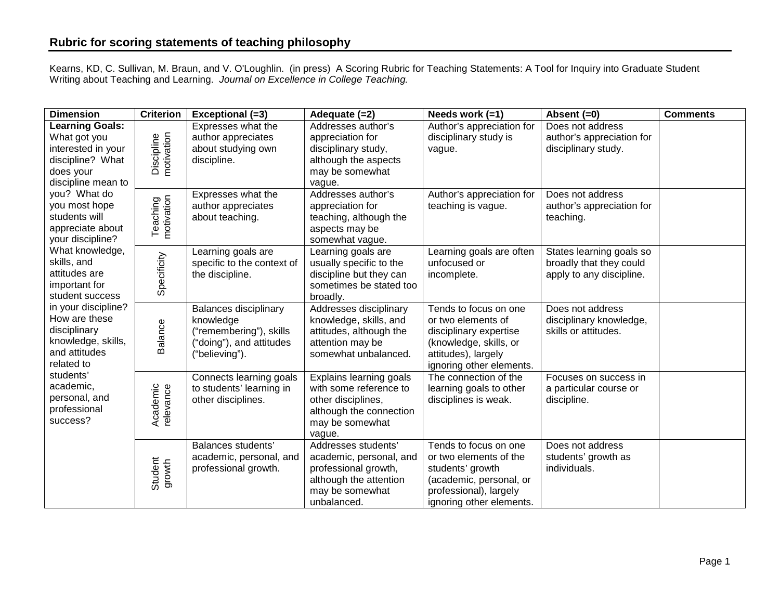Kearns, KD, C. Sullivan, M. Braun, and V. O'Loughlin. (in press) A Scoring Rubric for Teaching Statements: A Tool for Inquiry into Graduate Student Writing about Teaching and Learning. *Journal on Excellence in College Teaching.*

| <b>Dimension</b>                                                                                                                                                                                                                                                                                                                                                                                                                                                                         | <b>Criterion</b>         | Exceptional (=3)                                                                                                   | Adequate (=2)                                                                                                                      | Needs work (=1)                                                                                                                                      | Absent $(=0)$                                                                   | <b>Comments</b> |
|------------------------------------------------------------------------------------------------------------------------------------------------------------------------------------------------------------------------------------------------------------------------------------------------------------------------------------------------------------------------------------------------------------------------------------------------------------------------------------------|--------------------------|--------------------------------------------------------------------------------------------------------------------|------------------------------------------------------------------------------------------------------------------------------------|------------------------------------------------------------------------------------------------------------------------------------------------------|---------------------------------------------------------------------------------|-----------------|
| <b>Learning Goals:</b><br>What got you<br>interested in your<br>discipline? What<br>does your<br>discipline mean to<br>you? What do<br>you most hope<br>students will<br>appreciate about<br>your discipline?<br>What knowledge,<br>skills, and<br>attitudes are<br>important for<br>student success<br>in your discipline?<br>How are these<br>disciplinary<br>knowledge, skills,<br>and attitudes<br>related to<br>students'<br>academic,<br>personal, and<br>professional<br>success? | Discipline<br>motivation | Expresses what the<br>author appreciates<br>about studying own<br>discipline.                                      | Addresses author's<br>appreciation for<br>disciplinary study,<br>although the aspects<br>may be somewhat<br>vague.                 | Author's appreciation for<br>disciplinary study is<br>vague.                                                                                         | Does not address<br>author's appreciation for<br>disciplinary study.            |                 |
|                                                                                                                                                                                                                                                                                                                                                                                                                                                                                          | motivation<br>Teaching   | Expresses what the<br>author appreciates<br>about teaching.                                                        | Addresses author's<br>appreciation for<br>teaching, although the<br>aspects may be<br>somewhat vague.                              | Author's appreciation for<br>teaching is vague.                                                                                                      | Does not address<br>author's appreciation for<br>teaching.                      |                 |
|                                                                                                                                                                                                                                                                                                                                                                                                                                                                                          | Specificity              | Learning goals are<br>specific to the context of<br>the discipline.                                                | Learning goals are<br>usually specific to the<br>discipline but they can<br>sometimes be stated too<br>broadly.                    | Learning goals are often<br>unfocused or<br>incomplete.                                                                                              | States learning goals so<br>broadly that they could<br>apply to any discipline. |                 |
|                                                                                                                                                                                                                                                                                                                                                                                                                                                                                          | <b>Balance</b>           | <b>Balances disciplinary</b><br>knowledge<br>("remembering"), skills<br>("doing"), and attitudes<br>("believing"). | Addresses disciplinary<br>knowledge, skills, and<br>attitudes, although the<br>attention may be<br>somewhat unbalanced.            | Tends to focus on one<br>or two elements of<br>disciplinary expertise<br>(knowledge, skills, or<br>attitudes), largely<br>ignoring other elements.   | Does not address<br>disciplinary knowledge,<br>skills or attitudes.             |                 |
|                                                                                                                                                                                                                                                                                                                                                                                                                                                                                          | Academic<br>relevance    | Connects learning goals<br>to students' learning in<br>other disciplines.                                          | Explains learning goals<br>with some reference to<br>other disciplines,<br>although the connection<br>may be somewhat<br>vague.    | The connection of the<br>learning goals to other<br>disciplines is weak.                                                                             | Focuses on success in<br>a particular course or<br>discipline.                  |                 |
|                                                                                                                                                                                                                                                                                                                                                                                                                                                                                          | Student<br>growth        | Balances students'<br>academic, personal, and<br>professional growth.                                              | Addresses students'<br>academic, personal, and<br>professional growth,<br>although the attention<br>may be somewhat<br>unbalanced. | Tends to focus on one<br>or two elements of the<br>students' growth<br>(academic, personal, or<br>professional), largely<br>ignoring other elements. | Does not address<br>students' growth as<br>individuals.                         |                 |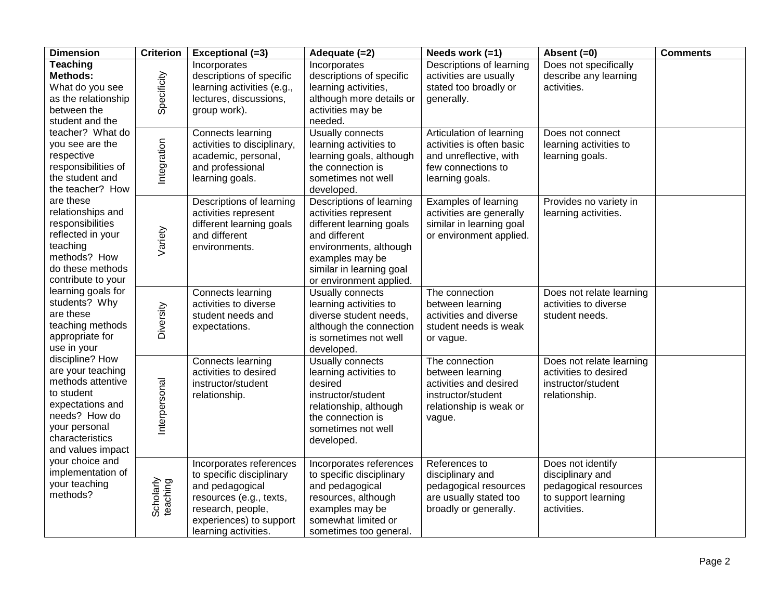| <b>Dimension</b>                                                                                                                                                                                                                                                                                                                                                                                                                                                                                                                                                                                                                                                                                                                           | <b>Criterion</b>      | Exceptional (=3)                                                                                                                                                          | Adequate (=2)                                                                                                                                                                                     | Needs work (=1)                                                                                                          | Absent $(=0)$                                                                                        | <b>Comments</b> |
|--------------------------------------------------------------------------------------------------------------------------------------------------------------------------------------------------------------------------------------------------------------------------------------------------------------------------------------------------------------------------------------------------------------------------------------------------------------------------------------------------------------------------------------------------------------------------------------------------------------------------------------------------------------------------------------------------------------------------------------------|-----------------------|---------------------------------------------------------------------------------------------------------------------------------------------------------------------------|---------------------------------------------------------------------------------------------------------------------------------------------------------------------------------------------------|--------------------------------------------------------------------------------------------------------------------------|------------------------------------------------------------------------------------------------------|-----------------|
| <b>Teaching</b><br><b>Methods:</b><br>What do you see<br>as the relationship<br>between the<br>student and the<br>teacher? What do<br>you see are the<br>respective<br>responsibilities of<br>the student and<br>the teacher? How<br>are these<br>relationships and<br>responsibilities<br>reflected in your<br>teaching<br>methods? How<br>do these methods<br>contribute to your<br>learning goals for<br>students? Why<br>are these<br>teaching methods<br>appropriate for<br>use in your<br>discipline? How<br>are your teaching<br>methods attentive<br>to student<br>expectations and<br>needs? How do<br>your personal<br>characteristics<br>and values impact<br>your choice and<br>implementation of<br>your teaching<br>methods? | Specificity           | Incorporates<br>descriptions of specific<br>learning activities (e.g.,<br>lectures, discussions,<br>group work).                                                          | Incorporates<br>descriptions of specific<br>learning activities,<br>although more details or<br>activities may be<br>needed.                                                                      | Descriptions of learning<br>activities are usually<br>stated too broadly or<br>generally.                                | Does not specifically<br>describe any learning<br>activities.                                        |                 |
|                                                                                                                                                                                                                                                                                                                                                                                                                                                                                                                                                                                                                                                                                                                                            | Integration           | Connects learning<br>activities to disciplinary,<br>academic, personal,<br>and professional<br>learning goals.                                                            | Usually connects<br>learning activities to<br>learning goals, although<br>the connection is<br>sometimes not well<br>developed.                                                                   | Articulation of learning<br>activities is often basic<br>and unreflective, with<br>few connections to<br>learning goals. | Does not connect<br>learning activities to<br>learning goals.                                        |                 |
|                                                                                                                                                                                                                                                                                                                                                                                                                                                                                                                                                                                                                                                                                                                                            | Variety               | Descriptions of learning<br>activities represent<br>different learning goals<br>and different<br>environments.                                                            | Descriptions of learning<br>activities represent<br>different learning goals<br>and different<br>environments, although<br>examples may be<br>similar in learning goal<br>or environment applied. | Examples of learning<br>activities are generally<br>similar in learning goal<br>or environment applied.                  | Provides no variety in<br>learning activities.                                                       |                 |
|                                                                                                                                                                                                                                                                                                                                                                                                                                                                                                                                                                                                                                                                                                                                            | Diversity             | Connects learning<br>activities to diverse<br>student needs and<br>expectations.                                                                                          | <b>Usually connects</b><br>learning activities to<br>diverse student needs,<br>although the connection<br>is sometimes not well<br>developed.                                                     | The connection<br>between learning<br>activities and diverse<br>student needs is weak<br>or vague.                       | Does not relate learning<br>activities to diverse<br>student needs.                                  |                 |
|                                                                                                                                                                                                                                                                                                                                                                                                                                                                                                                                                                                                                                                                                                                                            | Interpersonal         | Connects learning<br>activities to desired<br>instructor/student<br>relationship.                                                                                         | Usually connects<br>learning activities to<br>desired<br>instructor/student<br>relationship, although<br>the connection is<br>sometimes not well<br>developed.                                    | The connection<br>between learning<br>activities and desired<br>instructor/student<br>relationship is weak or<br>vague.  | Does not relate learning<br>activities to desired<br>instructor/student<br>relationship.             |                 |
|                                                                                                                                                                                                                                                                                                                                                                                                                                                                                                                                                                                                                                                                                                                                            | Scholarly<br>teaching | Incorporates references<br>to specific disciplinary<br>and pedagogical<br>resources (e.g., texts,<br>research, people,<br>experiences) to support<br>learning activities. | Incorporates references<br>to specific disciplinary<br>and pedagogical<br>resources, although<br>examples may be<br>somewhat limited or<br>sometimes too general.                                 | References to<br>disciplinary and<br>pedagogical resources<br>are usually stated too<br>broadly or generally.            | Does not identify<br>disciplinary and<br>pedagogical resources<br>to support learning<br>activities. |                 |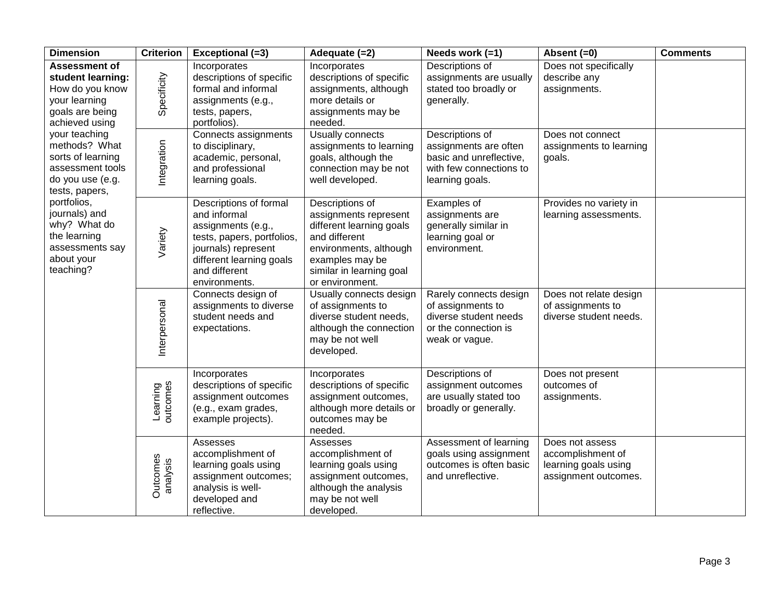| <b>Dimension</b>                                                                                                                                                                                                                                                                                                                                  | <b>Criterion</b>     | Exceptional (=3)                                                                                                                                                                | Adequate (=2)                                                                                                                                                                     | Needs work (=1)                                                                                                   | Absent $(=0)$                                                                        | <b>Comments</b> |
|---------------------------------------------------------------------------------------------------------------------------------------------------------------------------------------------------------------------------------------------------------------------------------------------------------------------------------------------------|----------------------|---------------------------------------------------------------------------------------------------------------------------------------------------------------------------------|-----------------------------------------------------------------------------------------------------------------------------------------------------------------------------------|-------------------------------------------------------------------------------------------------------------------|--------------------------------------------------------------------------------------|-----------------|
| <b>Assessment of</b><br>student learning:<br>How do you know<br>your learning<br>goals are being<br>achieved using<br>your teaching<br>methods? What<br>sorts of learning<br>assessment tools<br>do you use (e.g.<br>tests, papers,<br>portfolios,<br>journals) and<br>why? What do<br>the learning<br>assessments say<br>about your<br>teaching? | Specificity          | Incorporates<br>descriptions of specific<br>formal and informal<br>assignments (e.g.,<br>tests, papers,<br>portfolios).                                                         | Incorporates<br>descriptions of specific<br>assignments, although<br>more details or<br>assignments may be<br>needed.                                                             | Descriptions of<br>assignments are usually<br>stated too broadly or<br>generally.                                 | Does not specifically<br>describe any<br>assignments.                                |                 |
|                                                                                                                                                                                                                                                                                                                                                   | Integration          | Connects assignments<br>to disciplinary,<br>academic, personal,<br>and professional<br>learning goals.                                                                          | Usually connects<br>assignments to learning<br>goals, although the<br>connection may be not<br>well developed.                                                                    | Descriptions of<br>assignments are often<br>basic and unreflective,<br>with few connections to<br>learning goals. | Does not connect<br>assignments to learning<br>goals.                                |                 |
|                                                                                                                                                                                                                                                                                                                                                   | Variety              | Descriptions of formal<br>and informal<br>assignments (e.g.,<br>tests, papers, portfolios,<br>journals) represent<br>different learning goals<br>and different<br>environments. | Descriptions of<br>assignments represent<br>different learning goals<br>and different<br>environments, although<br>examples may be<br>similar in learning goal<br>or environment. | Examples of<br>assignments are<br>generally similar in<br>learning goal or<br>environment.                        | Provides no variety in<br>learning assessments.                                      |                 |
|                                                                                                                                                                                                                                                                                                                                                   | Interpersonal        | Connects design of<br>assignments to diverse<br>student needs and<br>expectations.                                                                                              | Usually connects design<br>of assignments to<br>diverse student needs,<br>although the connection<br>may be not well<br>developed.                                                | Rarely connects design<br>of assignments to<br>diverse student needs<br>or the connection is<br>weak or vague.    | Does not relate design<br>of assignments to<br>diverse student needs.                |                 |
|                                                                                                                                                                                                                                                                                                                                                   | Learning<br>outcomes | Incorporates<br>descriptions of specific<br>assignment outcomes<br>(e.g., exam grades,<br>example projects).                                                                    | Incorporates<br>descriptions of specific<br>assignment outcomes,<br>although more details or<br>outcomes may be<br>needed.                                                        | Descriptions of<br>assignment outcomes<br>are usually stated too<br>broadly or generally.                         | Does not present<br>outcomes of<br>assignments.                                      |                 |
|                                                                                                                                                                                                                                                                                                                                                   | Outcomes<br>analysis | Assesses<br>accomplishment of<br>learning goals using<br>assignment outcomes;<br>analysis is well-<br>developed and<br>reflective.                                              | Assesses<br>accomplishment of<br>learning goals using<br>assignment outcomes,<br>although the analysis<br>may be not well<br>developed.                                           | Assessment of learning<br>goals using assignment<br>outcomes is often basic<br>and unreflective.                  | Does not assess<br>accomplishment of<br>learning goals using<br>assignment outcomes. |                 |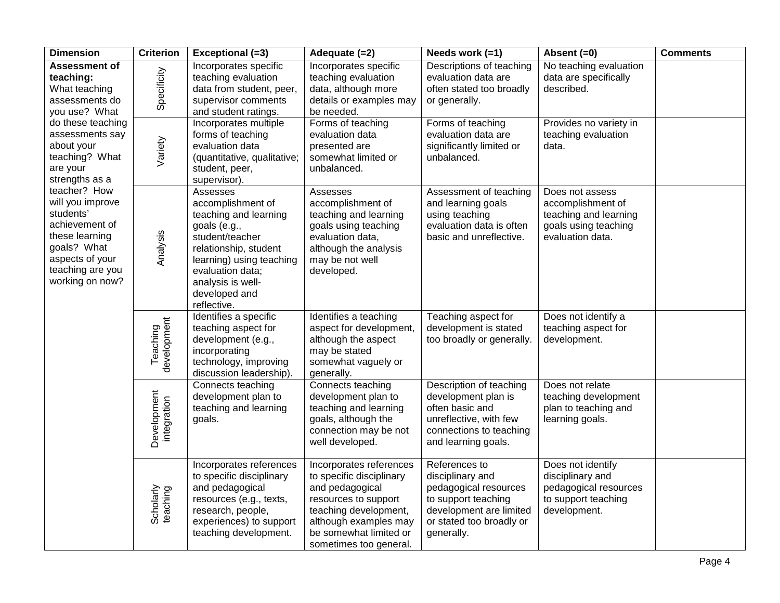| <b>Dimension</b>                                                                                                                                                                                                                                                                                                                                   | <b>Criterion</b>           | Exceptional (=3)                                                                                                                                                                                                        | Adequate (=2)                                                                                                                                                                                        | Needs work (=1)                                                                                                                                        | Absent $(=0)$                                                                                             | <b>Comments</b> |
|----------------------------------------------------------------------------------------------------------------------------------------------------------------------------------------------------------------------------------------------------------------------------------------------------------------------------------------------------|----------------------------|-------------------------------------------------------------------------------------------------------------------------------------------------------------------------------------------------------------------------|------------------------------------------------------------------------------------------------------------------------------------------------------------------------------------------------------|--------------------------------------------------------------------------------------------------------------------------------------------------------|-----------------------------------------------------------------------------------------------------------|-----------------|
| Assessment of<br>teaching:<br>What teaching<br>assessments do<br>you use? What<br>do these teaching<br>assessments say<br>about your<br>teaching? What<br>are your<br>strengths as a<br>teacher? How<br>will you improve<br>students'<br>achievement of<br>these learning<br>goals? What<br>aspects of your<br>teaching are you<br>working on now? | Specificity                | Incorporates specific<br>teaching evaluation<br>data from student, peer,<br>supervisor comments<br>and student ratings.                                                                                                 | Incorporates specific<br>teaching evaluation<br>data, although more<br>details or examples may<br>be needed.                                                                                         | Descriptions of teaching<br>evaluation data are<br>often stated too broadly<br>or generally.                                                           | No teaching evaluation<br>data are specifically<br>described.                                             |                 |
|                                                                                                                                                                                                                                                                                                                                                    | Variety                    | Incorporates multiple<br>forms of teaching<br>evaluation data<br>(quantitative, qualitative;<br>student, peer,<br>supervisor).                                                                                          | Forms of teaching<br>evaluation data<br>presented are<br>somewhat limited or<br>unbalanced.                                                                                                          | Forms of teaching<br>evaluation data are<br>significantly limited or<br>unbalanced.                                                                    | Provides no variety in<br>teaching evaluation<br>data.                                                    |                 |
|                                                                                                                                                                                                                                                                                                                                                    | Analysis                   | Assesses<br>accomplishment of<br>teaching and learning<br>goals (e.g.,<br>student/teacher<br>relationship, student<br>learning) using teaching<br>evaluation data;<br>analysis is well-<br>developed and<br>reflective. | Assesses<br>accomplishment of<br>teaching and learning<br>goals using teaching<br>evaluation data,<br>although the analysis<br>may be not well<br>developed.                                         | Assessment of teaching<br>and learning goals<br>using teaching<br>evaluation data is often<br>basic and unreflective.                                  | Does not assess<br>accomplishment of<br>teaching and learning<br>goals using teaching<br>evaluation data. |                 |
|                                                                                                                                                                                                                                                                                                                                                    | Teaching<br>development    | Identifies a specific<br>teaching aspect for<br>development (e.g.,<br>incorporating<br>technology, improving<br>discussion leadership).                                                                                 | Identifies a teaching<br>aspect for development,<br>although the aspect<br>may be stated<br>somewhat vaguely or<br>generally.                                                                        | Teaching aspect for<br>development is stated<br>too broadly or generally.                                                                              | Does not identify a<br>teaching aspect for<br>development.                                                |                 |
|                                                                                                                                                                                                                                                                                                                                                    | Development<br>integration | Connects teaching<br>development plan to<br>teaching and learning<br>goals.                                                                                                                                             | Connects teaching<br>development plan to<br>teaching and learning<br>goals, although the<br>connection may be not<br>well developed.                                                                 | Description of teaching<br>development plan is<br>often basic and<br>unreflective, with few<br>connections to teaching<br>and learning goals.          | Does not relate<br>teaching development<br>plan to teaching and<br>learning goals.                        |                 |
|                                                                                                                                                                                                                                                                                                                                                    | Scholarly<br>teaching      | Incorporates references<br>to specific disciplinary<br>and pedagogical<br>resources (e.g., texts,<br>research, people,<br>experiences) to support<br>teaching development.                                              | Incorporates references<br>to specific disciplinary<br>and pedagogical<br>resources to support<br>teaching development,<br>although examples may<br>be somewhat limited or<br>sometimes too general. | References to<br>disciplinary and<br>pedagogical resources<br>to support teaching<br>development are limited<br>or stated too broadly or<br>generally. | Does not identify<br>disciplinary and<br>pedagogical resources<br>to support teaching<br>development.     |                 |